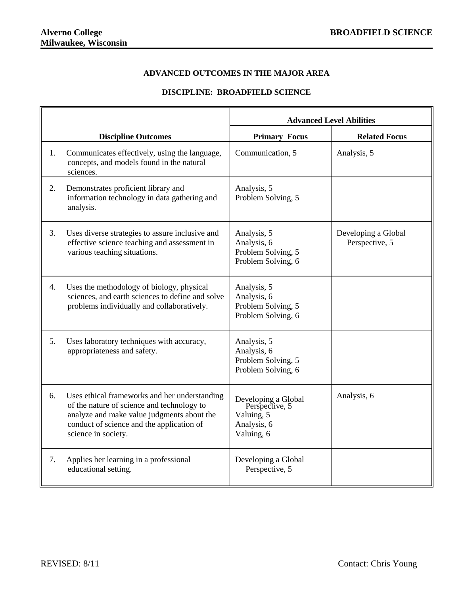## **ADVANCED OUTCOMES IN THE MAJOR AREA**

## **DISCIPLINE: BROADFIELD SCIENCE**

|    |                                                                                                                                                                                                               | <b>Advanced Level Abilities</b>                                                  |                                       |
|----|---------------------------------------------------------------------------------------------------------------------------------------------------------------------------------------------------------------|----------------------------------------------------------------------------------|---------------------------------------|
|    | <b>Discipline Outcomes</b>                                                                                                                                                                                    | <b>Primary Focus</b>                                                             | <b>Related Focus</b>                  |
| 1. | Communicates effectively, using the language,<br>concepts, and models found in the natural<br>sciences.                                                                                                       | Communication, 5                                                                 | Analysis, 5                           |
| 2. | Demonstrates proficient library and<br>information technology in data gathering and<br>analysis.                                                                                                              | Analysis, 5<br>Problem Solving, 5                                                |                                       |
| 3. | Uses diverse strategies to assure inclusive and<br>effective science teaching and assessment in<br>various teaching situations.                                                                               | Analysis, 5<br>Analysis, 6<br>Problem Solving, 5<br>Problem Solving, 6           | Developing a Global<br>Perspective, 5 |
| 4. | Uses the methodology of biology, physical<br>sciences, and earth sciences to define and solve<br>problems individually and collaboratively.                                                                   | Analysis, 5<br>Analysis, 6<br>Problem Solving, 5<br>Problem Solving, 6           |                                       |
| 5. | Uses laboratory techniques with accuracy,<br>appropriateness and safety.                                                                                                                                      | Analysis, 5<br>Analysis, 6<br>Problem Solving, 5<br>Problem Solving, 6           |                                       |
| 6. | Uses ethical frameworks and her understanding<br>of the nature of science and technology to<br>analyze and make value judgments about the<br>conduct of science and the application of<br>science in society. | Developing a Global<br>Perspective, 5<br>Valuing, 5<br>Analysis, 6<br>Valuing, 6 | Analysis, 6                           |
| 7. | Applies her learning in a professional<br>educational setting.                                                                                                                                                | Developing a Global<br>Perspective, 5                                            |                                       |